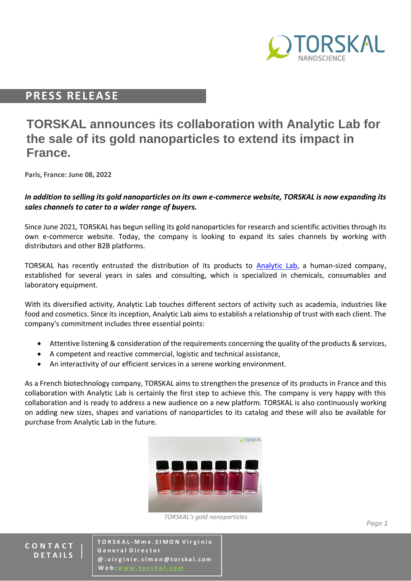

## **PRESS RELEASE**

# **TORSKAL announces its collaboration with Analytic Lab for the sale of its gold nanoparticles to extend its impact in France.**

**Paris, France: June 08, 2022**

#### *In addition to selling its gold nanoparticles on its own e-commerce website, TORSKAL is now expanding its sales channels to cater to a wider range of buyers.*

Since June 2021, TORSKAL has begun selling its gold nanoparticles for research and scientific activities through its own e-commerce website. Today, the company is looking to expand its sales channels by working with distributors and other B2B platforms.

TORSKAL has recently entrusted the distribution of its products to [Analytic Lab,](https://analytic-lab.fr/) a human-sized company, established for several years in sales and consulting, which is specialized in chemicals, consumables and laboratory equipment.

With its diversified activity, Analytic Lab touches different sectors of activity such as academia, industries like food and cosmetics. Since its inception, Analytic Lab aims to establish a relationship of trust with each client. The company's commitment includes three essential points:

- Attentive listening & consideration of the requirements concerning the quality of the products & services,
- A competent and reactive commercial, logistic and technical assistance,
- An interactivity of our efficient services in a serene working environment.

As a French biotechnology company, TORSKAL aims to strengthen the presence of its products in France and this collaboration with Analytic Lab is certainly the first step to achieve this. The company is very happy with this collaboration and is ready to address a new audience on a new platform. TORSKAL is also continuously working on adding new sizes, shapes and variations of nanoparticles to its catalog and these will also be available for purchase from Analytic Lab in the future.



*TORSKAL's gold nanoparticles*

**C O N T A C T D E T A I L S**

**T O R S K A L - M m e . S I M O N V i r g i n i e G e n e r a l D i r e c t o r @ : v i r g i n i e . s i m o n @ t o rs k a l . c o m W** e **b** :